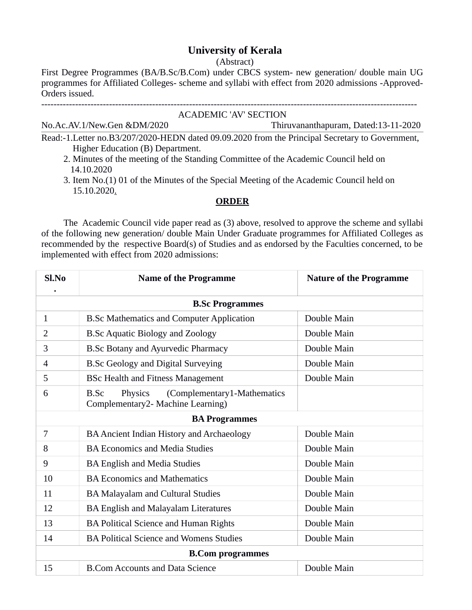## **University of Kerala**

(Abstract)

First Degree Programmes (BA/B.Sc/B.Com) under CBCS system- new generation/ double main UG programmes for Affiliated Colleges- scheme and syllabi with effect from 2020 admissions -Approved-Orders issued.

--------------------------------------------------------------------------------------------------------------------------

| ACADEMIC 'AV' SECTION                                                                             |                                      |  |
|---------------------------------------------------------------------------------------------------|--------------------------------------|--|
| No.Ac.AV.1/New.Gen &DM/2020                                                                       | Thiruvananthapuram, Dated:13-11-2020 |  |
| Read:-1. Letter no. B3/207/2020-HEDN dated 09.09.2020 from the Principal Secretary to Government, |                                      |  |
| Higher Education (B) Department.                                                                  |                                      |  |

- 2. Minutes of the meeting of the Standing Committee of the Academic Council held on 14.10.2020
- 3. Item No.(1) 01 of the Minutes of the Special Meeting of the Academic Council held on 15.10.2020.

## **ORDER**

The Academic Council vide paper read as (3) above, resolved to approve the scheme and syllabi of the following new generation/ double Main Under Graduate programmes for Affiliated Colleges as recommended by the respective Board(s) of Studies and as endorsed by the Faculties concerned, to be implemented with effect from 2020 admissions:

| Sl.No                   | <b>Name of the Programme</b>                                                        | <b>Nature of the Programme</b> |
|-------------------------|-------------------------------------------------------------------------------------|--------------------------------|
| <b>B.Sc Programmes</b>  |                                                                                     |                                |
| $\mathbf{1}$            | <b>B.Sc Mathematics and Computer Application</b>                                    | Double Main                    |
| 2                       | <b>B.Sc Aquatic Biology and Zoology</b>                                             | Double Main                    |
| 3                       | <b>B.Sc Botany and Ayurvedic Pharmacy</b>                                           | Double Main                    |
| 4                       | <b>B.Sc Geology and Digital Surveying</b>                                           | Double Main                    |
| 5                       | <b>BSc Health and Fitness Management</b>                                            | Double Main                    |
| 6                       | (Complementary1-Mathematics<br>Physics<br>B.Sc<br>Complementary2- Machine Learning) |                                |
| <b>BA Programmes</b>    |                                                                                     |                                |
| 7                       | BA Ancient Indian History and Archaeology                                           | Double Main                    |
| 8                       | <b>BA Economics and Media Studies</b>                                               | Double Main                    |
| 9                       | <b>BA English and Media Studies</b>                                                 | Double Main                    |
| 10                      | <b>BA Economics and Mathematics</b>                                                 | Double Main                    |
| 11                      | <b>BA Malayalam and Cultural Studies</b>                                            | Double Main                    |
| 12                      | <b>BA English and Malayalam Literatures</b>                                         | Double Main                    |
| 13                      | BA Political Science and Human Rights                                               | Double Main                    |
| 14                      | <b>BA Political Science and Womens Studies</b>                                      | Double Main                    |
| <b>B.Com programmes</b> |                                                                                     |                                |
| 15                      | <b>B.Com Accounts and Data Science</b>                                              | Double Main                    |